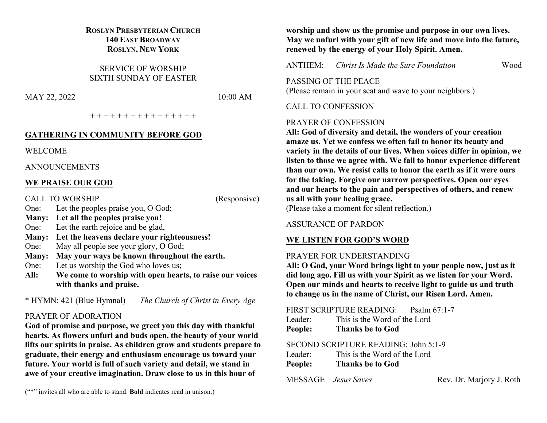## **ROSLYN PRESBYTERIAN CHURCH 140 EAST BROADWAY ROSLYN, NEW YORK**

SERVICE OF WORSHIP SIXTH SUNDAY OF EASTER

MAY 22, 2022 10:00 AM

+ + + + + + + + + + + + + + + +

#### **GATHERING IN COMMUNITY BEFORE GOD**

WELCOME

ANNOUNCEMENTS

## **WE PRAISE OUR GOD**

CALL TO WORSHIP (Responsive)

- One: Let the peoples praise you, O God; **Many: Let all the peoples praise you!**
- One: Let the earth rejoice and be glad,
- **Many: Let the heavens declare your righteousness!**
- One: May all people see your glory, O God;
- **Many: May your ways be known throughout the earth.**
- One: Let us worship the God who loves us;
- **All: We come to worship with open hearts, to raise our voices with thanks and praise.**

\* HYMN: 421 (Blue Hymnal) *The Church of Christ in Every Age*

## PRAYER OF ADORATION

**God of promise and purpose, we greet you this day with thankful hearts. As flowers unfurl and buds open, the beauty of your world lifts our spirits in praise. As children grow and students prepare to graduate, their energy and enthusiasm encourage us toward your future. Your world is full of such variety and detail, we stand in awe of your creative imagination. Draw close to us in this hour of** 

("\*" invites all who are able to stand. **Bold** indicates read in unison.)

**worship and show us the promise and purpose in our own lives. May we unfurl with your gift of new life and move into the future, renewed by the energy of your Holy Spirit. Amen.**

ANTHEM: *Christ Is Made the Sure Foundation* Wood

PASSING OF THE PEACE (Please remain in your seat and wave to your neighbors.)

# CALL TO CONFESSION

# PRAYER OF CONFESSION

**All: God of diversity and detail, the wonders of your creation amaze us. Yet we confess we often fail to honor its beauty and variety in the details of our lives. When voices differ in opinion, we listen to those we agree with. We fail to honor experience different than our own. We resist calls to honor the earth as if it were ours for the taking. Forgive our narrow perspectives. Open our eyes and our hearts to the pain and perspectives of others, and renew us all with your healing grace.**

(Please take a moment for silent reflection.)

# ASSURANCE OF PARDON

# **WE LISTEN FOR GOD'S WORD**

# PRAYER FOR UNDERSTANDING

**All: O God, your Word brings light to your people now, just as it did long ago. Fill us with your Spirit as we listen for your Word. Open our minds and hearts to receive light to guide us and truth to change us in the name of Christ, our Risen Lord. Amen.**

|              | FIRST SCRIPTURE READING: Psalm 67:1-7 |  |  |                                                     |  |  |
|--------------|---------------------------------------|--|--|-----------------------------------------------------|--|--|
|              | Leader: This is the Word of the Lord  |  |  |                                                     |  |  |
|              | People: Thanks be to God              |  |  |                                                     |  |  |
|              | SECOND SCRIPTURE READING: John 5:1-9  |  |  |                                                     |  |  |
|              | Leader: This is the Word of the Lord  |  |  |                                                     |  |  |
|              | People: Thanks be to God              |  |  |                                                     |  |  |
| $\mathbf{R}$ |                                       |  |  | $\mathbf{r}$ $\mathbf{r}$ $\mathbf{r}$ $\mathbf{r}$ |  |  |

MESSAGE *Jesus Saves* Rev. Dr. Marjory J. Roth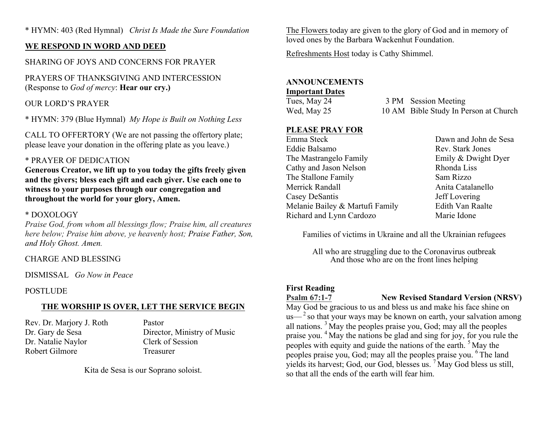\* HYMN: 403 (Red Hymnal) *Christ Is Made the Sure Foundation*

## **WE RESPOND IN WORD AND DEED**

# SHARING OF JOYS AND CONCERNS FOR PRAYER

PRAYERS OF THANKSGIVING AND INTERCESSION (Response to *God of mercy*: **Hear our cry.)**

#### OUR LORD'S PRAYER

\* HYMN: 379 (Blue Hymnal) *My Hope is Built on Nothing Less*

CALL TO OFFERTORY (We are not passing the offertory plate; please leave your donation in the offering plate as you leave.)

#### \* PRAYER OF DEDICATION

**Generous Creator, we lift up to you today the gifts freely given and the givers; bless each gift and each giver. Use each one to witness to your purposes through our congregation and throughout the world for your glory, Amen.**

#### \* DOXOLOGY

*Praise God, from whom all blessings flow; Praise him, all creatures here below; Praise him above, ye heavenly host; Praise Father, Son, and Holy Ghost. Amen.*

#### CHARGE AND BLESSING

DISMISSAL *Go Now in Peace*

#### POSTLUDE

## **THE WORSHIP IS OVER, LET THE SERVICE BEGIN**

Rev. Dr. Marjory J. Roth Pastor Dr. Natalie Naylor Clerk of Session Robert Gilmore Treasurer

Dr. Gary de Sesa Director, Ministry of Music

Kita de Sesa is our Soprano soloist.

The Flowers today are given to the glory of God and in memory of loved ones by the Barbara Wackenhut Foundation.

Refreshments Host today is Cathy Shimmel.

#### **ANNOUNCEMENTS**

#### **Important Dates**

| Tues, May 24 | 3 PM Session Meeting                  |  |
|--------------|---------------------------------------|--|
| Wed, May 25  | 10 AM Bible Study In Person at Church |  |

#### **PLEASE PRAY FOR**

Emma Steck Dawn and John de Sesa Eddie Balsamo Rev. Stark Jones The Mastrangelo Family **Emily & Dwight Dyer** Cathy and Jason Nelson Rhonda Liss The Stallone Family Sam Rizzo Merrick Randall **Anita Catalanello** Anita Catalanello Casey DeSantis Jeff Lovering Melanie Bailey & Martufi Family Edith Van Raalte Richard and Lynn Cardozo Marie Idone

Families of victims in Ukraine and all the Ukrainian refugees

All who are struggling due to the Coronavirus outbreak And those who are on the front lines helping

#### **First Reading**



#### **Psalm 67:1-7 New Revised Standard Version (NRSV)**

May God be gracious to us and bless us and make his face shine on  $us-<sup>2</sup>$  so that your ways may be known on earth, your salvation among all nations. <sup>3</sup> May the peoples praise you, God; may all the peoples praise you. <sup>4</sup> May the nations be glad and sing for joy, for you rule the peoples with equity and guide the nations of the earth. <sup>5</sup> May the peoples praise you, God; may all the peoples praise you. <sup>6</sup> The land yields its harvest; God, our God, blesses us. <sup>7</sup> May God bless us still, so that all the ends of the earth will fear him.